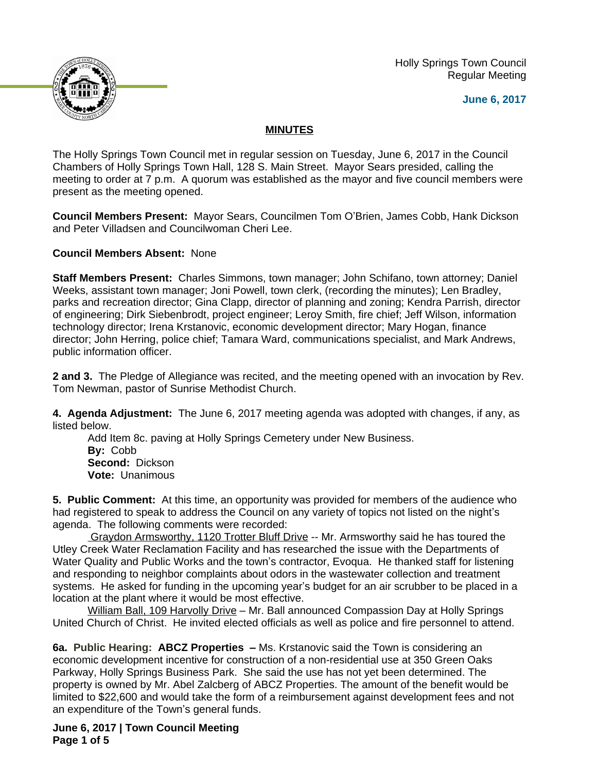Holly Springs Town Council Regular Meeting





## **MINUTES**

The Holly Springs Town Council met in regular session on Tuesday, June 6, 2017 in the Council Chambers of Holly Springs Town Hall, 128 S. Main Street. Mayor Sears presided, calling the meeting to order at 7 p.m. A quorum was established as the mayor and five council members were present as the meeting opened.

**Council Members Present:** Mayor Sears, Councilmen Tom O'Brien, James Cobb, Hank Dickson and Peter Villadsen and Councilwoman Cheri Lee.

**Council Members Absent:** None

**Staff Members Present:** Charles Simmons, town manager; John Schifano, town attorney; Daniel Weeks, assistant town manager; Joni Powell, town clerk, (recording the minutes); Len Bradley, parks and recreation director; Gina Clapp, director of planning and zoning; Kendra Parrish, director of engineering; Dirk Siebenbrodt, project engineer; Leroy Smith, fire chief; Jeff Wilson, information technology director; Irena Krstanovic, economic development director; Mary Hogan, finance director; John Herring, police chief; Tamara Ward, communications specialist, and Mark Andrews, public information officer.

**2 and 3.** The Pledge of Allegiance was recited, and the meeting opened with an invocation by Rev. Tom Newman, pastor of Sunrise Methodist Church.

**4. Agenda Adjustment:** The June 6, 2017 meeting agenda was adopted with changes, if any, as listed below.

Add Item 8c. paving at Holly Springs Cemetery under New Business. **By:** Cobb **Second:** Dickson **Vote:** Unanimous

**5. Public Comment:** At this time, an opportunity was provided for members of the audience who had registered to speak to address the Council on any variety of topics not listed on the night's agenda. The following comments were recorded:

Graydon Armsworthy, 1120 Trotter Bluff Drive -- Mr. Armsworthy said he has toured the Utley Creek Water Reclamation Facility and has researched the issue with the Departments of Water Quality and Public Works and the town's contractor, Evoqua. He thanked staff for listening and responding to neighbor complaints about odors in the wastewater collection and treatment systems. He asked for funding in the upcoming year's budget for an air scrubber to be placed in a location at the plant where it would be most effective.

William Ball, 109 Harvolly Drive - Mr. Ball announced Compassion Day at Holly Springs United Church of Christ. He invited elected officials as well as police and fire personnel to attend.

**6a. Public Hearing: ABCZ Properties –** Ms. Krstanovic said the Town is considering an economic development incentive for construction of a non-residential use at 350 Green Oaks Parkway, Holly Springs Business Park. She said the use has not yet been determined. The property is owned by Mr. Abel Zalcberg of ABCZ Properties. The amount of the benefit would be limited to \$22,600 and would take the form of a reimbursement against development fees and not an expenditure of the Town's general funds.

**June 6, 2017 | Town Council Meeting Page 1 of 5**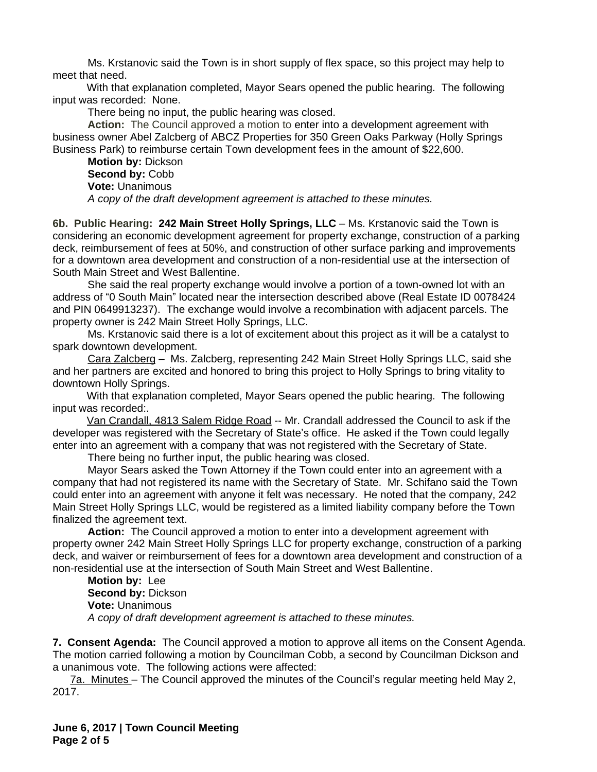Ms. Krstanovic said the Town is in short supply of flex space, so this project may help to meet that need.

With that explanation completed, Mayor Sears opened the public hearing. The following input was recorded: None.

There being no input, the public hearing was closed.

**Action:** The Council approved a motion to enter into a development agreement with business owner Abel Zalcberg of ABCZ Properties for 350 Green Oaks Parkway (Holly Springs Business Park) to reimburse certain Town development fees in the amount of \$22,600.

**Motion by:** Dickson Second by: Cobb **Vote:** Unanimous *A copy of the draft development agreement is attached to these minutes.*

**6b. Public Hearing: 242 Main Street Holly Springs, LLC** – Ms. Krstanovic said the Town is considering an economic development agreement for property exchange, construction of a parking deck, reimbursement of fees at 50%, and construction of other surface parking and improvements for a downtown area development and construction of a non-residential use at the intersection of South Main Street and West Ballentine.

She said the real property exchange would involve a portion of a town-owned lot with an address of "0 South Main" located near the intersection described above (Real Estate ID 0078424 and PIN 0649913237). The exchange would involve a recombination with adjacent parcels. The property owner is 242 Main Street Holly Springs, LLC.

Ms. Krstanovic said there is a lot of excitement about this project as it will be a catalyst to spark downtown development.

Cara Zalcberg - Ms. Zalcberg, representing 242 Main Street Holly Springs LLC, said she and her partners are excited and honored to bring this project to Holly Springs to bring vitality to downtown Holly Springs.

With that explanation completed, Mayor Sears opened the public hearing. The following input was recorded:.

Van Crandall, 4813 Salem Ridge Road -- Mr. Crandall addressed the Council to ask if the developer was registered with the Secretary of State's office. He asked if the Town could legally enter into an agreement with a company that was not registered with the Secretary of State.

There being no further input, the public hearing was closed.

Mayor Sears asked the Town Attorney if the Town could enter into an agreement with a company that had not registered its name with the Secretary of State. Mr. Schifano said the Town could enter into an agreement with anyone it felt was necessary. He noted that the company, 242 Main Street Holly Springs LLC, would be registered as a limited liability company before the Town finalized the agreement text.

**Action:** The Council approved a motion to enter into a development agreement with property owner 242 Main Street Holly Springs LLC for property exchange, construction of a parking deck, and waiver or reimbursement of fees for a downtown area development and construction of a non-residential use at the intersection of South Main Street and West Ballentine.

**Motion by:** Lee **Second by:** Dickson **Vote:** Unanimous *A copy of draft development agreement is attached to these minutes.*

**7. Consent Agenda:** The Council approved a motion to approve all items on the Consent Agenda. The motion carried following a motion by Councilman Cobb, a second by Councilman Dickson and a unanimous vote. The following actions were affected:

7a. Minutes – The Council approved the minutes of the Council's regular meeting held May 2, 2017.

**June 6, 2017 | Town Council Meeting Page 2 of 5**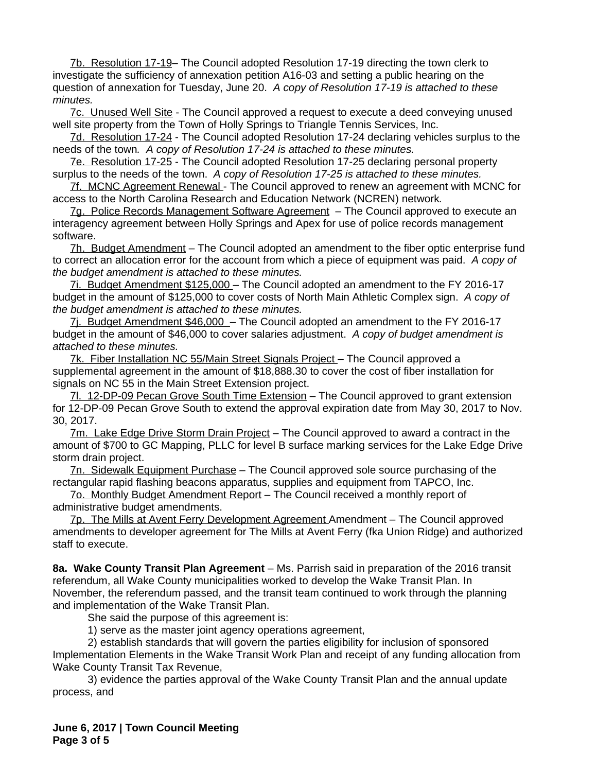7b. Resolution 17-19– The Council adopted Resolution 17-19 directing the town clerk to investigate the sufficiency of annexation petition A16-03 and setting a public hearing on the question of annexation for Tuesday, June 20. *A copy of Resolution 17-19 is attached to these minutes.* 

7c. Unused Well Site - The Council approved a request to execute a deed conveying unused well site property from the Town of Holly Springs to Triangle Tennis Services, Inc.

7d. Resolution 17-24 - The Council adopted Resolution 17-24 declaring vehicles surplus to the needs of the town*. A copy of Resolution 17-24 is attached to these minutes.*

7e. Resolution 17-25 - The Council adopted Resolution 17-25 declaring personal property surplus to the needs of the town. *A copy of Resolution 17-25 is attached to these minutes.*

7f. MCNC Agreement Renewal - The Council approved to renew an agreement with MCNC for access to the North Carolina Research and Education Network (NCREN) network*.*

7g. Police Records Management Software Agreement – The Council approved to execute an interagency agreement between Holly Springs and Apex for use of police records management software.

7h. Budget Amendment – The Council adopted an amendment to the fiber optic enterprise fund to correct an allocation error for the account from which a piece of equipment was paid.*A copy of the budget amendment is attached to these minutes.*

7i. Budget Amendment \$125,000 – The Council adopted an amendment to the FY 2016-17 budget in the amount of \$125,000 to cover costs of North Main Athletic Complex sign. *A copy of the budget amendment is attached to these minutes.*

7j. Budget Amendment \$46,000 - The Council adopted an amendment to the FY 2016-17 budget in the amount of \$46,000 to cover salaries adjustment. *A copy of budget amendment is attached to these minutes.* 

7k. Fiber Installation NC 55/Main Street Signals Project – The Council approved a supplemental agreement in the amount of \$18,888.30 to cover the cost of fiber installation for signals on NC 55 in the Main Street Extension project.

7l. 12-DP-09 Pecan Grove South Time Extension – The Council approved to grant extension for 12-DP-09 Pecan Grove South to extend the approval expiration date from May 30, 2017 to Nov. 30, 2017.

7m. Lake Edge Drive Storm Drain Project – The Council approved to award a contract in the amount of \$700 to GC Mapping, PLLC for level B surface marking services for the Lake Edge Drive storm drain project.

7n. Sidewalk Equipment Purchase – The Council approved sole source purchasing of the rectangular rapid flashing beacons apparatus, supplies and equipment from TAPCO, Inc.

7o. Monthly Budget Amendment Report – The Council received a monthly report of administrative budget amendments.

7p. The Mills at Avent Ferry Development Agreement Amendment – The Council approved amendments to developer agreement for The Mills at Avent Ferry (fka Union Ridge) and authorized staff to execute.

**8a. Wake County Transit Plan Agreement** – Ms. Parrish said in preparation of the 2016 transit referendum, all Wake County municipalities worked to develop the Wake Transit Plan. In November, the referendum passed, and the transit team continued to work through the planning and implementation of the Wake Transit Plan.

She said the purpose of this agreement is:

1) serve as the master joint agency operations agreement,

2) establish standards that will govern the parties eligibility for inclusion of sponsored Implementation Elements in the Wake Transit Work Plan and receipt of any funding allocation from Wake County Transit Tax Revenue,

3) evidence the parties approval of the Wake County Transit Plan and the annual update process, and

**June 6, 2017 | Town Council Meeting Page 3 of 5**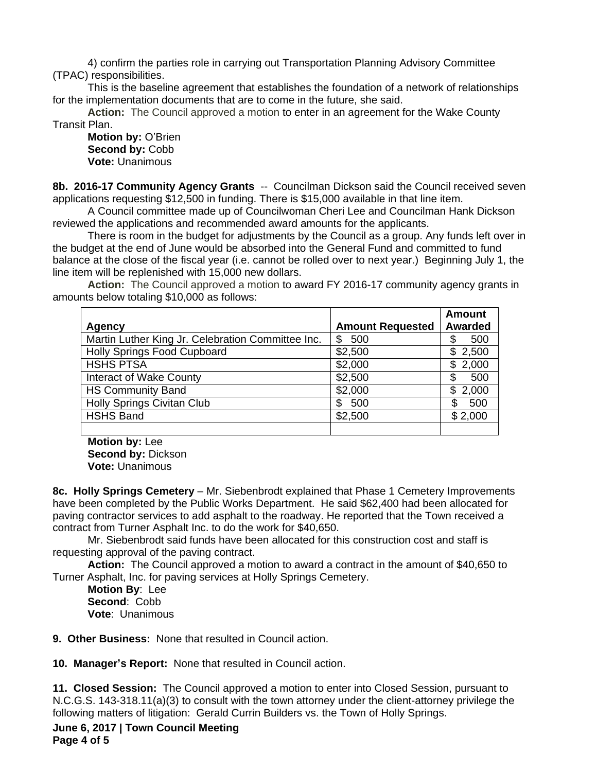4) confirm the parties role in carrying out Transportation Planning Advisory Committee (TPAC) responsibilities.

This is the baseline agreement that establishes the foundation of a network of relationships for the implementation documents that are to come in the future, she said.

**Action:** The Council approved a motion to enter in an agreement for the Wake County Transit Plan.

**Motion by:** O'Brien **Second by:** Cobb **Vote:** Unanimous

**8b. 2016-17 Community Agency Grants** -- Councilman Dickson said the Council received seven applications requesting \$12,500 in funding. There is \$15,000 available in that line item.

A Council committee made up of Councilwoman Cheri Lee and Councilman Hank Dickson reviewed the applications and recommended award amounts for the applicants.

There is room in the budget for adjustments by the Council as a group. Any funds left over in the budget at the end of June would be absorbed into the General Fund and committed to fund balance at the close of the fiscal year (i.e. cannot be rolled over to next year.) Beginning July 1, the line item will be replenished with 15,000 new dollars.

**Action:** The Council approved a motion to award FY 2016-17 community agency grants in amounts below totaling \$10,000 as follows:

|                                                   |                         | <b>Amount</b>  |
|---------------------------------------------------|-------------------------|----------------|
| <b>Agency</b>                                     | <b>Amount Requested</b> | <b>Awarded</b> |
| Martin Luther King Jr. Celebration Committee Inc. | 500<br>\$               | 500<br>S       |
| <b>Holly Springs Food Cupboard</b>                | \$2,500                 | 2,500<br>\$    |
| <b>HSHS PTSA</b>                                  | \$2,000                 | 2,000<br>S     |
| Interact of Wake County                           | \$2,500                 | 500<br>\$      |
| <b>HS Community Band</b>                          | \$2,000                 | 2,000<br>\$    |
| <b>Holly Springs Civitan Club</b>                 | 500<br>S                | 500            |
| <b>HSHS Band</b>                                  | \$2,500                 | \$2,000        |
|                                                   |                         |                |

**Motion by:** Lee **Second by:** Dickson **Vote:** Unanimous

**8c. Holly Springs Cemetery** – Mr. Siebenbrodt explained that Phase 1 Cemetery Improvements have been completed by the Public Works Department. He said \$62,400 had been allocated for paving contractor services to add asphalt to the roadway. He reported that the Town received a contract from Turner Asphalt Inc. to do the work for \$40,650.

Mr. Siebenbrodt said funds have been allocated for this construction cost and staff is requesting approval of the paving contract.

**Action:** The Council approved a motion to award a contract in the amount of \$40,650 to Turner Asphalt, Inc. for paving services at Holly Springs Cemetery.

**Motion By**: Lee **Second**: Cobb **Vote**: Unanimous

**9. Other Business:** None that resulted in Council action.

**10. Manager's Report:** None that resulted in Council action.

**11. Closed Session:** The Council approved a motion to enter into Closed Session, pursuant to N.C.G.S. 143-318.11(a)(3) to consult with the town attorney under the client-attorney privilege the following matters of litigation: Gerald Currin Builders vs. the Town of Holly Springs.

**June 6, 2017 | Town Council Meeting Page 4 of 5**